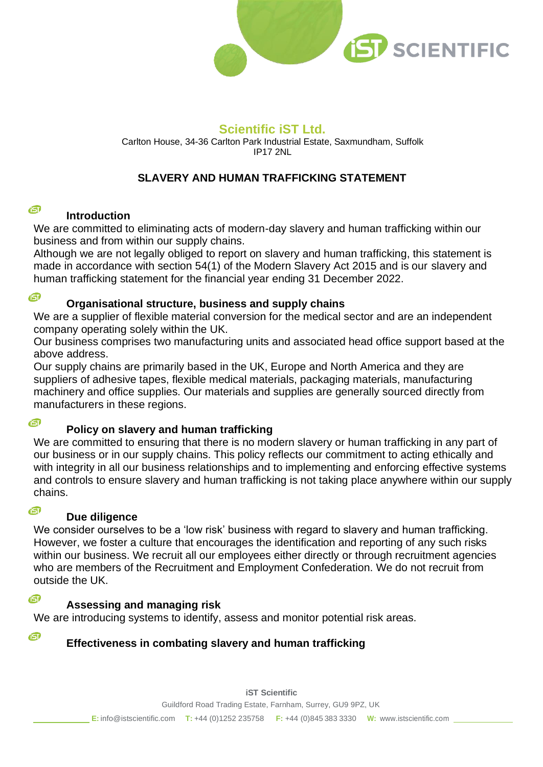

# **Scientific iST Ltd.**

Carlton House, 34-36 Carlton Park Industrial Estate, Saxmundham, Suffolk IP17 2NL

# **SLAVERY AND HUMAN TRAFFICKING STATEMENT**

#### 面 **Introduction**

We are committed to eliminating acts of modern-day slavery and human trafficking within our business and from within our supply chains.

Although we are not legally obliged to report on slavery and human trafficking, this statement is made in accordance with section 54(1) of the Modern Slavery Act 2015 and is our slavery and human trafficking statement for the financial year ending 31 December 2022.

面

## **Organisational structure, business and supply chains**

We are a supplier of flexible material conversion for the medical sector and are an independent company operating solely within the UK.

Our business comprises two manufacturing units and associated head office support based at the above address.

Our supply chains are primarily based in the UK, Europe and North America and they are suppliers of adhesive tapes, flexible medical materials, packaging materials, manufacturing machinery and office supplies. Our materials and supplies are generally sourced directly from manufacturers in these regions.

#### 面

## **Policy on slavery and human trafficking**

We are committed to ensuring that there is no modern slavery or human trafficking in any part of our business or in our supply chains. This policy reflects our commitment to acting ethically and with integrity in all our business relationships and to implementing and enforcing effective systems and controls to ensure slavery and human trafficking is not taking place anywhere within our supply chains.

## **Due diligence**

We consider ourselves to be a 'low risk' business with regard to slavery and human trafficking. However, we foster a culture that encourages the identification and reporting of any such risks within our business. We recruit all our employees either directly or through recruitment agencies who are members of the Recruitment and Employment Confederation. We do not recruit from outside the UK.

回

G

G

## **Assessing and managing risk**

We are introducing systems to identify, assess and monitor potential risk areas.

# **Effectiveness in combating slavery and human trafficking**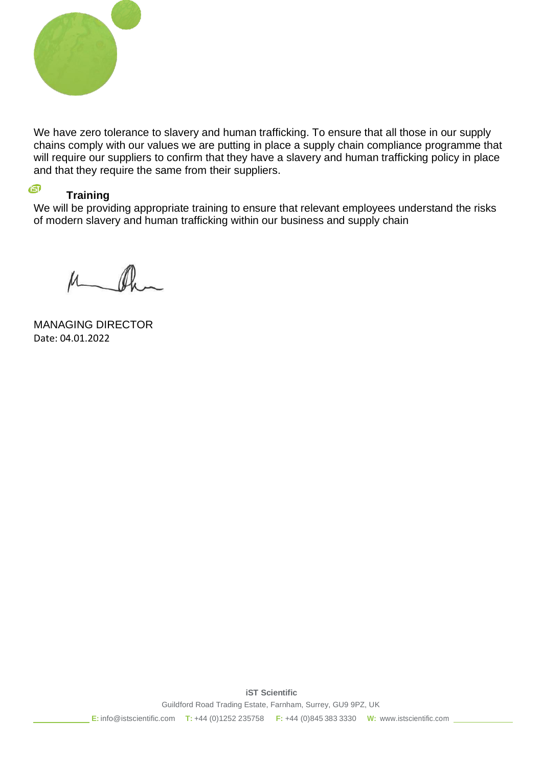

We have zero tolerance to slavery and human trafficking. To ensure that all those in our supply chains comply with our values we are putting in place a supply chain compliance programme that will require our suppliers to confirm that they have a slavery and human trafficking policy in place and that they require the same from their suppliers.

# A

**Training**

We will be providing appropriate training to ensure that relevant employees understand the risks of modern slavery and human trafficking within our business and supply chain

MANAGING DIRECTOR Date: 04.01.2022

Guildford Road Trading Estate, Farnham, Surrey, GU9 9PZ, UK **E:** [info@istscientific.com](mailto:info@istscientific.com) **T:** +44 (0)1252 235758 **F:** +44 (0)845 383 3330 **W:** [www.istscientific.com](http://www.istscientific.com/)

**iST Scientific**